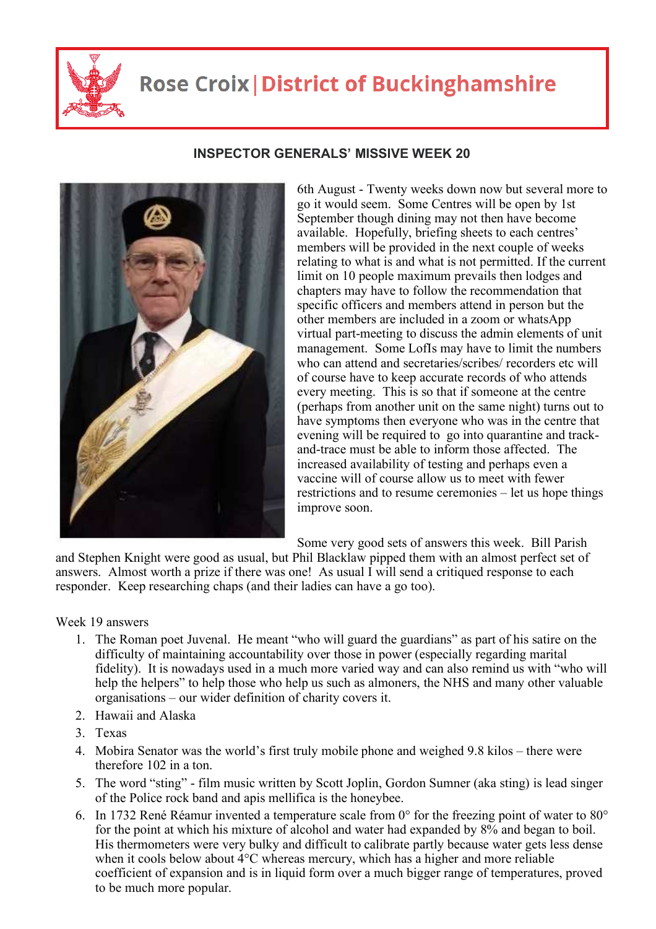

## **Rose Croix | District of Buckinghamshire**

## **INSPECTOR GENERALS' MISSIVE WEEK 20**

6th August - Twenty weeks down now but several more to go it would seem. Some Centres will be open by 1st September though dining may not then have become available. Hopefully, briefing sheets to each centres' members will be provided in the next couple of weeks relating to what is and what is not permitted. If the current limit on 10 people maximum prevails then lodges and chapters may have to follow the recommendation that specific officers and members attend in person but the other members are included in a zoom or whatsApp virtual part-meeting to discuss the admin elements of unit management. Some LofIs may have to limit the numbers who can attend and secretaries/scribes/ recorders etc will of course have to keep accurate records of who attends every meeting. This is so that if someone at the centre (perhaps from another unit on the same night) turns out to have symptoms then everyone who was in the centre that evening will be required to go into quarantine and trackand-trace must be able to inform those affected. The increased availability of testing and perhaps even a vaccine will of course allow us to meet with fewer restrictions and to resume ceremonies – let us hope things improve soon.

Some very good sets of answers this week. Bill Parish

and Stephen Knight were good as usual, but Phil Blacklaw pipped them with an almost perfect set of answers. Almost worth a prize if there was one! As usual I will send a critiqued response to each responder. Keep researching chaps (and their ladies can have a go too).

## Week 19 answers

- 1. The Roman poet Juvenal. He meant "who will guard the guardians" as part of his satire on the difficulty of maintaining accountability over those in power (especially regarding marital fidelity). It is nowadays used in a much more varied way and can also remind us with "who will help the helpers" to help those who help us such as almoners, the NHS and many other valuable organisations – our wider definition of charity covers it.
- 2. Hawaii and Alaska
- 3. Texas
- 4. Mobira Senator was the world's first truly mobile phone and weighed 9.8 kilos there were therefore 102 in a ton.
- 5. The word "sting" film music written by Scott Joplin, Gordon Sumner (aka sting) is lead singer of the Police rock band and apis mellifica is the honeybee.
- 6. In 1732 René Réamur invented a temperature scale from 0° for the freezing point of water to 80° for the point at which his mixture of alcohol and water had expanded by 8% and began to boil. His thermometers were very bulky and difficult to calibrate partly because water gets less dense when it cools below about 4°C whereas mercury, which has a higher and more reliable coefficient of expansion and is in liquid form over a much bigger range of temperatures, proved to be much more popular.